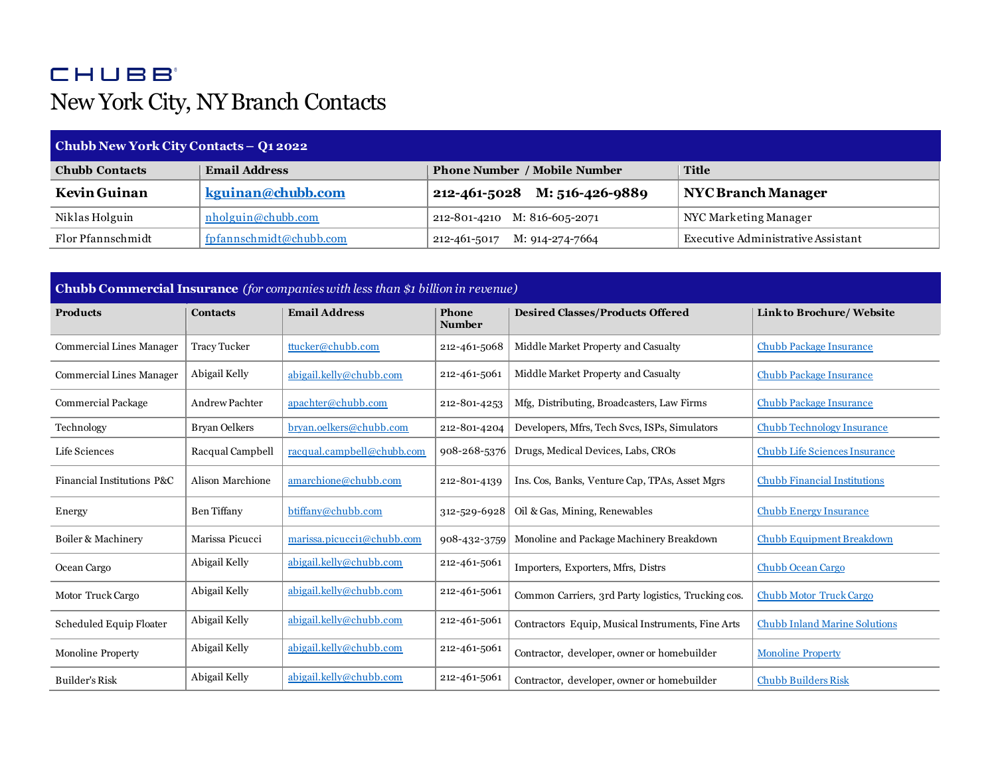## **CHUBB** New York City, NY Branch Contacts

| Chubb New York City Contacts - Q1 2022 |                         |                                     |                                    |  |  |  |
|----------------------------------------|-------------------------|-------------------------------------|------------------------------------|--|--|--|
| <b>Chubb Contacts</b>                  | <b>Email Address</b>    | <b>Phone Number / Mobile Number</b> | <b>Title</b>                       |  |  |  |
| Kevin Guinan                           | kguinan@chubb.com       | M: 516-426-9889<br>212-461-5028     | <b>NYC Branch Manager</b>          |  |  |  |
| Niklas Holguin                         | nholguin@chubb.com      | 212-801-4210 M: 816-605-2071        | NYC Marketing Manager              |  |  |  |
| Flor Pfannschmidt                      | fpfannschmidt@chubb.com | M: 914-274-7664<br>212-461-5017     | Executive Administrative Assistant |  |  |  |

| <b>Chubb Commercial Insurance</b> (for companies with less than \$1 billion in revenue) |                     |                            |                        |                                                     |                                      |
|-----------------------------------------------------------------------------------------|---------------------|----------------------------|------------------------|-----------------------------------------------------|--------------------------------------|
| <b>Products</b>                                                                         | <b>Contacts</b>     | <b>Email Address</b>       | Phone<br><b>Number</b> | <b>Desired Classes/Products Offered</b>             | <b>Link to Brochure/ Website</b>     |
| Commercial Lines Manager                                                                | <b>Tracy Tucker</b> | ttucker@chubb.com          | 212-461-5068           | Middle Market Property and Casualty                 | <b>Chubb Package Insurance</b>       |
| <b>Commercial Lines Manager</b>                                                         | Abigail Kelly       | abigail.kelly@chubb.com    | 212-461-5061           | Middle Market Property and Casualty                 | <b>Chubb Package Insurance</b>       |
| <b>Commercial Package</b>                                                               | Andrew Pachter      | apachter@chubb.com         | 212-801-4253           | Mfg, Distributing, Broadcasters, Law Firms          | <b>Chubb Package Insurance</b>       |
| Technology                                                                              | Bryan Oelkers       | bryan.oelkers@chubb.com    | 212-801-4204           | Developers, Mfrs, Tech Svcs, ISPs, Simulators       | <b>Chubb Technology Insurance</b>    |
| Life Sciences                                                                           | Racqual Campbell    | racqual.campbell@chubb.com | 908-268-5376           | Drugs, Medical Devices, Labs, CROs                  | <b>Chubb Life Sciences Insurance</b> |
| Financial Institutions P&C                                                              | Alison Marchione    | amarchione@chubb.com       | 212-801-4139           | Ins. Cos, Banks, Venture Cap, TPAs, Asset Mgrs      | <b>Chubb Financial Institutions</b>  |
| Energy                                                                                  | Ben Tiffany         | btiffany@chubb.com         | 312-529-6928           | Oil & Gas, Mining, Renewables                       | <b>Chubb Energy Insurance</b>        |
| Boiler & Machinery                                                                      | Marissa Picucci     | marissa.picucci1@chubb.com | 908-432-3759           | Monoline and Package Machinery Breakdown            | Chubb Equipment Breakdown            |
| Ocean Cargo                                                                             | Abigail Kelly       | abigail.kelly@chubb.com    | 212-461-5061           | Importers, Exporters, Mfrs, Distrs                  | <b>Chubb Ocean Cargo</b>             |
| Motor Truck Cargo                                                                       | Abigail Kelly       | abigail.kelly@chubb.com    | 212-461-5061           | Common Carriers, 3rd Party logistics, Trucking cos. | <b>Chubb Motor Truck Cargo</b>       |
| Scheduled Equip Floater                                                                 | Abigail Kelly       | abigail.kelly@chubb.com    | 212-461-5061           | Contractors Equip, Musical Instruments, Fine Arts   | <b>Chubb Inland Marine Solutions</b> |
| <b>Monoline Property</b>                                                                | Abigail Kelly       | abigail.kelly@chubb.com    | 212-461-5061           | Contractor, developer, owner or homebuilder         | <b>Monoline Property</b>             |
| <b>Builder's Risk</b>                                                                   | Abigail Kelly       | abigail.kelly@chubb.com    | 212-461-5061           | Contractor, developer, owner or homebuilder         | <b>Chubb Builders Risk</b>           |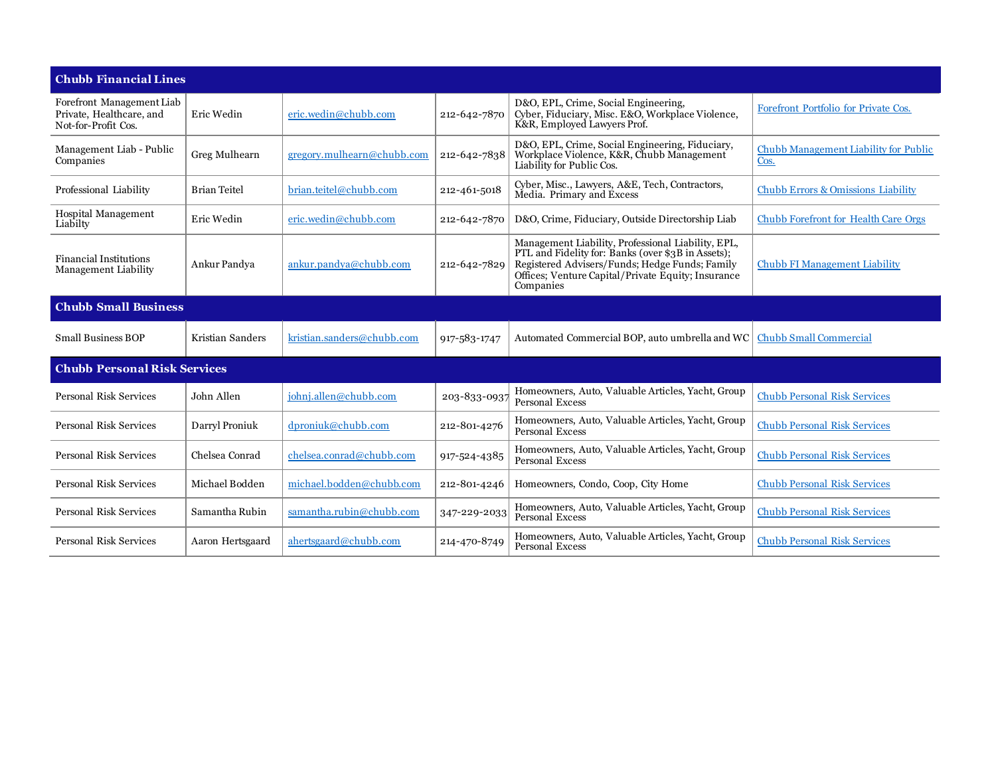| <b>Chubb Financial Lines</b>                                                 |                     |                               |              |                                                                                                                                                                                                                               |                                               |  |
|------------------------------------------------------------------------------|---------------------|-------------------------------|--------------|-------------------------------------------------------------------------------------------------------------------------------------------------------------------------------------------------------------------------------|-----------------------------------------------|--|
| Forefront Management Liab<br>Private, Healthcare, and<br>Not-for-Profit Cos. | Eric Wedin          | eric.wedin@chubb.com          | 212-642-7870 | D&O, EPL, Crime, Social Engineering,<br>Cyber, Fiduciary, Misc. E&O, Workplace Violence,<br>K&R, Employed Lawyers Prof.                                                                                                       | Forefront Portfolio for Private Cos.          |  |
| Management Liab - Public<br>Companies                                        | Greg Mulhearn       | $gregory.$ mulhearn@chubb.com | 212-642-7838 | D&O, EPL, Crime, Social Engineering, Fiduciary,<br>Workplace Violence, K&R, Chubb Management<br>Liability for Public Cos.                                                                                                     | Chubb Management Liability for Public<br>Cos. |  |
| Professional Liability                                                       | <b>Brian Teitel</b> | brian.teitel@chubb.com        | 212-461-5018 | Cyber, Misc., Lawyers, A&E, Tech, Contractors,<br>Media. Primary and Excess                                                                                                                                                   | <b>Chubb Errors &amp; Omissions Liability</b> |  |
| Hospital Management<br>Liabilty                                              | Eric Wedin          | eric.wedin@chubb.com          | 212-642-7870 | D&O, Crime, Fiduciary, Outside Directorship Liab                                                                                                                                                                              | <b>Chubb Forefront for Health Care Orgs</b>   |  |
| <b>Financial Institutions</b><br>Management Liability                        | Ankur Pandya        | ankur.pandva@chubb.com        | 212-642-7829 | Management Liability, Professional Liability, EPL,<br>PTL and Fidelity for: Banks (over \$3B in Assets);<br>Registered Advisers/Funds; Hedge Funds; Family<br>Offices: Venture Capital/Private Equity: Insurance<br>Companies | <b>Chubb FI Management Liability</b>          |  |
| <b>Chubb Small Business</b>                                                  |                     |                               |              |                                                                                                                                                                                                                               |                                               |  |
| <b>Small Business BOP</b>                                                    | Kristian Sanders    | kristian.sanders@chubb.com    | 917-583-1747 | Automated Commercial BOP, auto umbrella and WC                                                                                                                                                                                | <b>Chubb Small Commercial</b>                 |  |
| <b>Chubb Personal Risk Services</b>                                          |                     |                               |              |                                                                                                                                                                                                                               |                                               |  |
| Personal Risk Services                                                       | John Allen          | johnj.allen@chubb.com         | 203-833-093  | Homeowners, Auto, Valuable Articles, Yacht, Group<br><b>Personal Excess</b>                                                                                                                                                   | <b>Chubb Personal Risk Services</b>           |  |
| Personal Risk Services                                                       | Darryl Proniuk      | dproniuk@chubb.com            | 212-801-4276 | Homeowners, Auto, Valuable Articles, Yacht, Group<br>Personal Excess                                                                                                                                                          | <b>Chubb Personal Risk Services</b>           |  |
| Personal Risk Services                                                       | Chelsea Conrad      | chelsea.conrad@chubb.com      | 917-524-4385 | Homeowners, Auto, Valuable Articles, Yacht, Group<br><b>Personal Excess</b>                                                                                                                                                   | <b>Chubb Personal Risk Services</b>           |  |
| <b>Personal Risk Services</b>                                                | Michael Bodden      | michael.bodden@chubb.com      | 212-801-4246 | Homeowners, Condo, Coop, City Home                                                                                                                                                                                            | <b>Chubb Personal Risk Services</b>           |  |
| Personal Risk Services                                                       | Samantha Rubin      | samantha.rubin@chubb.com      | 347-229-2033 | Homeowners, Auto, Valuable Articles, Yacht, Group<br>Personal Excess                                                                                                                                                          | <b>Chubb Personal Risk Services</b>           |  |
| Personal Risk Services                                                       | Aaron Hertsgaard    | ahertsgaard@chubb.com         | 214-470-8749 | Homeowners, Auto, Valuable Articles, Yacht, Group<br><b>Personal Excess</b>                                                                                                                                                   | <b>Chubb Personal Risk Services</b>           |  |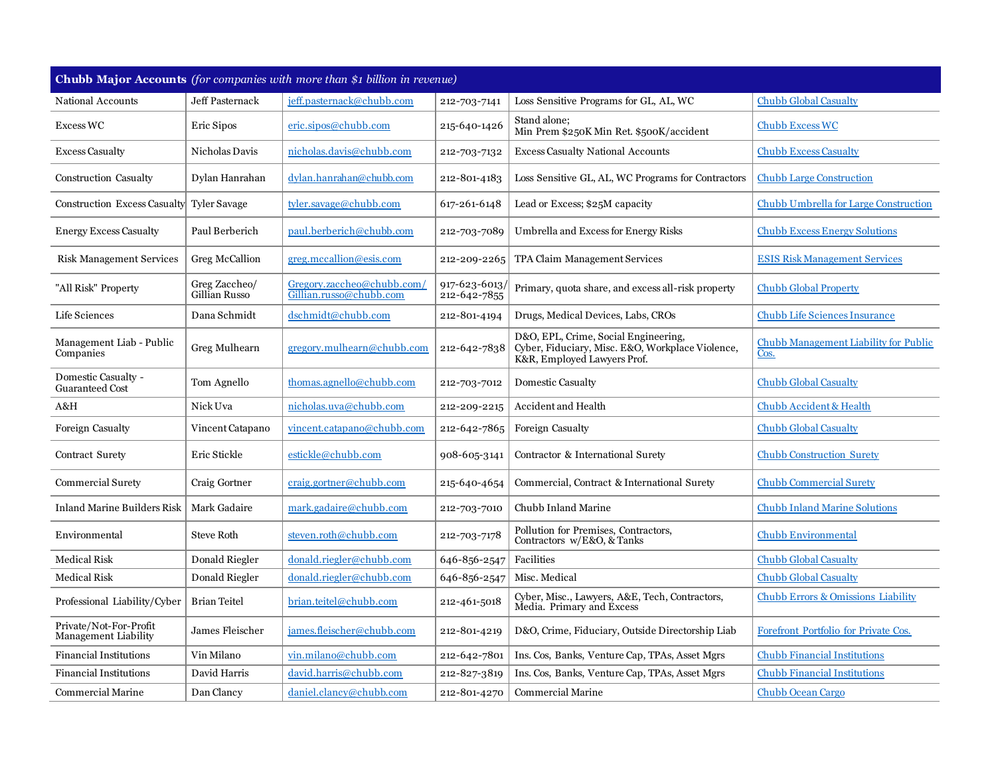| Chubb Major Accounts (for companies with more than \$1 billion in revenue) |                                |                                                       |                               |                                                                                                                         |                                               |
|----------------------------------------------------------------------------|--------------------------------|-------------------------------------------------------|-------------------------------|-------------------------------------------------------------------------------------------------------------------------|-----------------------------------------------|
| National Accounts                                                          | <b>Jeff Pasternack</b>         | jeff.pasternack@chubb.com                             | 212-703-7141                  | Loss Sensitive Programs for GL, AL, WC                                                                                  | <b>Chubb Global Casualty</b>                  |
| Excess WC                                                                  | Eric Sipos                     | eric.sipos@chubb.com                                  | 215-640-1426                  | Stand alone;<br>Min Prem \$250K Min Ret. \$500K/accident                                                                | <b>Chubb Excess WC</b>                        |
| <b>Excess Casualty</b>                                                     | Nicholas Davis                 | nicholas.davis@chubb.com                              | 212-703-7132                  | <b>Excess Casualty National Accounts</b>                                                                                | <b>Chubb Excess Casualty</b>                  |
| Construction Casualty                                                      | Dylan Hanrahan                 | dylan.hanrahan@chubb.com                              | 212-801-4183                  | Loss Sensitive GL, AL, WC Programs for Contractors                                                                      | <b>Chubb Large Construction</b>               |
| Construction Excess Casualty                                               | <b>Tyler Savage</b>            | tyler.savage@chubb.com                                | 617-261-6148                  | Lead or Excess; \$25M capacity                                                                                          | <b>Chubb Umbrella for Large Construction</b>  |
| <b>Energy Excess Casualty</b>                                              | Paul Berberich                 | paul.berberich@chubb.com                              | 212-703-7089                  | Umbrella and Excess for Energy Risks                                                                                    | <b>Chubb Excess Energy Solutions</b>          |
| <b>Risk Management Services</b>                                            | Greg McCallion                 | greg.mccallion@esis.com                               | 212-209-2265                  | TPA Claim Management Services                                                                                           | <b>ESIS Risk Management Services</b>          |
| "All Risk" Property                                                        | Greg Zaccheo/<br>Gillian Russo | Gregory.zaccheo@chubb.com/<br>Gillian.russo@chubb.com | 917-623-6013/<br>212-642-7855 | Primary, quota share, and excess all-risk property                                                                      | <b>Chubb Global Property</b>                  |
| Life Sciences                                                              | Dana Schmidt                   | dschmidt@chubb.com                                    | 212-801-4194                  | Drugs, Medical Devices, Labs, CROs                                                                                      | <b>Chubb Life Sciences Insurance</b>          |
| Management Liab - Public<br>Companies                                      | Greg Mulhearn                  | gregory.mulhearn@chubb.com                            | 212-642-7838                  | D&O, EPL, Crime, Social Engineering,<br>Cyber, Fiduciary, Misc. E&O, Workplace Violence,<br>K&R, Employed Lawyers Prof. | Chubb Management Liability for Public<br>Cos. |
| Domestic Casualty -<br><b>Guaranteed Cost</b>                              | Tom Agnello                    | thomas.agnello@chubb.com                              | 212-703-7012                  | Domestic Casualty                                                                                                       | Chubb Global Casualty                         |
| A&H                                                                        | Nick Uva                       | nicholas.uva@chubb.com                                | 212-209-2215                  | Accident and Health                                                                                                     | <b>Chubb Accident &amp; Health</b>            |
| Foreign Casualty                                                           | Vincent Catapano               | vincent.catapano@chubb.com                            | 212-642-7865                  | Foreign Casualty                                                                                                        | <b>Chubb Global Casualty</b>                  |
| Contract Surety                                                            | Eric Stickle                   | estickle@chubb.com                                    | 908-605-3141                  | Contractor & International Surety                                                                                       | <b>Chubb Construction Surety</b>              |
| <b>Commercial Surety</b>                                                   | Craig Gortner                  | craig.gortner@chubb.com                               | 215-640-4654                  | Commercial, Contract & International Surety                                                                             | <b>Chubb Commercial Surety</b>                |
| <b>Inland Marine Builders Risk</b>                                         | Mark Gadaire                   | mark.gadaire@chubb.com                                | 212-703-7010                  | Chubb Inland Marine                                                                                                     | <b>Chubb Inland Marine Solutions</b>          |
| Environmental                                                              | <b>Steve Roth</b>              | steven.roth@chubb.com                                 | 212-703-7178                  | Pollution for Premises, Contractors,<br>Contractors w/E&O, & Tanks                                                      | <b>Chubb Environmental</b>                    |
| <b>Medical Risk</b>                                                        | Donald Riegler                 | donald.riegler@chubb.com                              | 646-856-2547                  | Facilities                                                                                                              | <b>Chubb Global Casualty</b>                  |
| <b>Medical Risk</b>                                                        | Donald Riegler                 | donald.riegler@chubb.com                              | 646-856-2547                  | Misc. Medical                                                                                                           | <b>Chubb Global Casualty</b>                  |
| Professional Liability/Cyber                                               | <b>Brian Teitel</b>            | brian.teitel@chubb.com                                | 212-461-5018                  | Cyber, Misc., Lawyers, A&E, Tech, Contractors,<br>Media. Primary and Excess                                             | <b>Chubb Errors &amp; Omissions Liability</b> |
| Private/Not-For-Profit<br>Management Liability                             | James Fleischer                | james.fleischer@chubb.com                             | 212-801-4219                  | D&O, Crime, Fiduciary, Outside Directorship Liab                                                                        | Forefront Portfolio for Private Cos.          |
| <b>Financial Institutions</b>                                              | Vin Milano                     | vin.milano@chubb.com                                  | 212-642-7801                  | Ins. Cos, Banks, Venture Cap, TPAs, Asset Mgrs                                                                          | <b>Chubb Financial Institutions</b>           |
| <b>Financial Institutions</b>                                              | David Harris                   | david.harris@chubb.com                                | 212-827-3819                  | Ins. Cos, Banks, Venture Cap, TPAs, Asset Mgrs                                                                          | <b>Chubb Financial Institutions</b>           |
| <b>Commercial Marine</b>                                                   | Dan Clancy                     | daniel.clancy@chubb.com                               | 212-801-4270                  | <b>Commercial Marine</b>                                                                                                | <b>Chubb Ocean Cargo</b>                      |